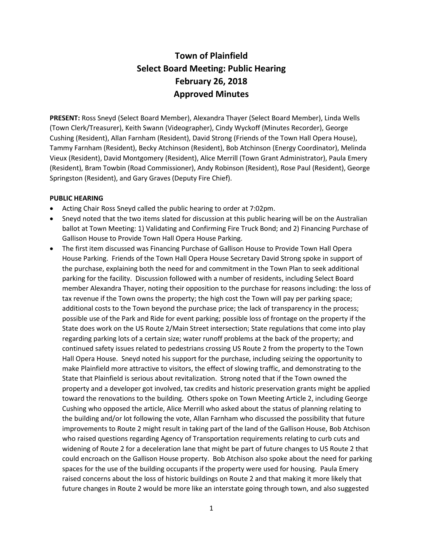# **Town of Plainfield Select Board Meeting: Public Hearing February 26, 2018 Approved Minutes**

**PRESENT:** Ross Sneyd (Select Board Member), Alexandra Thayer (Select Board Member), Linda Wells (Town Clerk/Treasurer), Keith Swann (Videographer), Cindy Wyckoff (Minutes Recorder), George Cushing (Resident), Allan Farnham (Resident), David Strong (Friends of the Town Hall Opera House), Tammy Farnham (Resident), Becky Atchinson (Resident), Bob Atchinson (Energy Coordinator), Melinda Vieux (Resident), David Montgomery (Resident), Alice Merrill (Town Grant Administrator), Paula Emery (Resident), Bram Towbin (Road Commissioner), Andy Robinson (Resident), Rose Paul (Resident), George Springston (Resident), and Gary Graves (Deputy Fire Chief).

#### **PUBLIC HEARING**

- Acting Chair Ross Sneyd called the public hearing to order at 7:02pm.
- Sneyd noted that the two items slated for discussion at this public hearing will be on the Australian ballot at Town Meeting: 1) Validating and Confirming Fire Truck Bond; and 2) Financing Purchase of Gallison House to Provide Town Hall Opera House Parking.
- The first item discussed was Financing Purchase of Gallison House to Provide Town Hall Opera House Parking. Friends of the Town Hall Opera House Secretary David Strong spoke in support of the purchase, explaining both the need for and commitment in the Town Plan to seek additional parking for the facility. Discussion followed with a number of residents, including Select Board member Alexandra Thayer, noting their opposition to the purchase for reasons including: the loss of tax revenue if the Town owns the property; the high cost the Town will pay per parking space; additional costs to the Town beyond the purchase price; the lack of transparency in the process; possible use of the Park and Ride for event parking; possible loss of frontage on the property if the State does work on the US Route 2/Main Street intersection; State regulations that come into play regarding parking lots of a certain size; water runoff problems at the back of the property; and continued safety issues related to pedestrians crossing US Route 2 from the property to the Town Hall Opera House. Sneyd noted his support for the purchase, including seizing the opportunity to make Plainfield more attractive to visitors, the effect of slowing traffic, and demonstrating to the State that Plainfield is serious about revitalization. Strong noted that if the Town owned the property and a developer got involved, tax credits and historic preservation grants might be applied toward the renovations to the building. Others spoke on Town Meeting Article 2, including George Cushing who opposed the article, Alice Merrill who asked about the status of planning relating to the building and/or lot following the vote, Allan Farnham who discussed the possibility that future improvements to Route 2 might result in taking part of the land of the Gallison House, Bob Atchison who raised questions regarding Agency of Transportation requirements relating to curb cuts and widening of Route 2 for a deceleration lane that might be part of future changes to US Route 2 that could encroach on the Gallison House property. Bob Atchison also spoke about the need for parking spaces for the use of the building occupants if the property were used for housing. Paula Emery raised concerns about the loss of historic buildings on Route 2 and that making it more likely that future changes in Route 2 would be more like an interstate going through town, and also suggested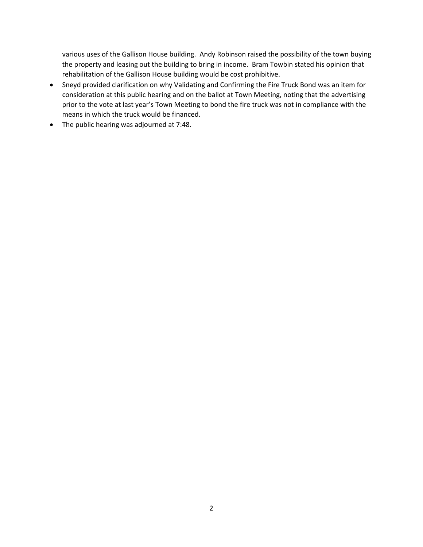various uses of the Gallison House building. Andy Robinson raised the possibility of the town buying the property and leasing out the building to bring in income. Bram Towbin stated his opinion that rehabilitation of the Gallison House building would be cost prohibitive.

- Sneyd provided clarification on why Validating and Confirming the Fire Truck Bond was an item for consideration at this public hearing and on the ballot at Town Meeting, noting that the advertising prior to the vote at last year's Town Meeting to bond the fire truck was not in compliance with the means in which the truck would be financed.
- The public hearing was adjourned at 7:48.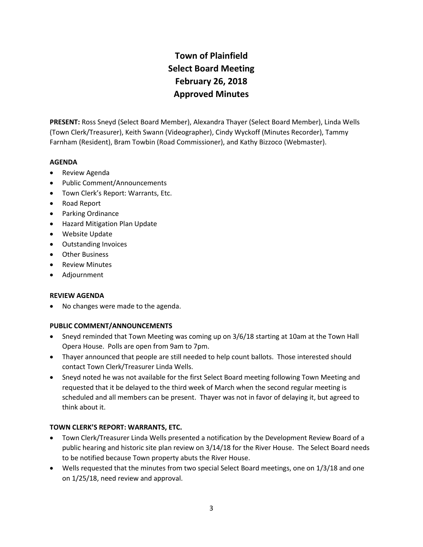# **Town of Plainfield Select Board Meeting February 26, 2018 Approved Minutes**

**PRESENT:** Ross Sneyd (Select Board Member), Alexandra Thayer (Select Board Member), Linda Wells (Town Clerk/Treasurer), Keith Swann (Videographer), Cindy Wyckoff (Minutes Recorder), Tammy Farnham (Resident), Bram Towbin (Road Commissioner), and Kathy Bizzoco (Webmaster).

## **AGENDA**

- Review Agenda
- Public Comment/Announcements
- Town Clerk's Report: Warrants, Etc.
- Road Report
- Parking Ordinance
- **•** Hazard Mitigation Plan Update
- Website Update
- Outstanding Invoices
- Other Business
- Review Minutes
- Adjournment

## **REVIEW AGENDA**

• No changes were made to the agenda.

## **PUBLIC COMMENT/ANNOUNCEMENTS**

- Sneyd reminded that Town Meeting was coming up on 3/6/18 starting at 10am at the Town Hall Opera House. Polls are open from 9am to 7pm.
- Thayer announced that people are still needed to help count ballots. Those interested should contact Town Clerk/Treasurer Linda Wells.
- Sneyd noted he was not available for the first Select Board meeting following Town Meeting and requested that it be delayed to the third week of March when the second regular meeting is scheduled and all members can be present. Thayer was not in favor of delaying it, but agreed to think about it.

## **TOWN CLERK'S REPORT: WARRANTS, ETC.**

- Town Clerk/Treasurer Linda Wells presented a notification by the Development Review Board of a public hearing and historic site plan review on 3/14/18 for the River House. The Select Board needs to be notified because Town property abuts the River House.
- Wells requested that the minutes from two special Select Board meetings, one on 1/3/18 and one on 1/25/18, need review and approval.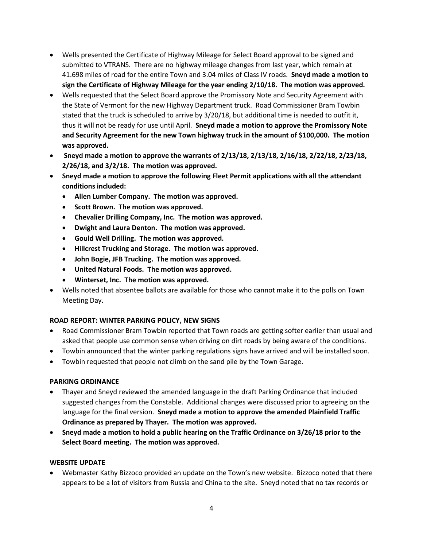- Wells presented the Certificate of Highway Mileage for Select Board approval to be signed and submitted to VTRANS. There are no highway mileage changes from last year, which remain at 41.698 miles of road for the entire Town and 3.04 miles of Class IV roads. **Sneyd made a motion to sign the Certificate of Highway Mileage for the year ending 2/10/18. The motion was approved.**
- Wells requested that the Select Board approve the Promissory Note and Security Agreement with the State of Vermont for the new Highway Department truck. Road Commissioner Bram Towbin stated that the truck is scheduled to arrive by 3/20/18, but additional time is needed to outfit it, thus it will not be ready for use until April. **Sneyd made a motion to approve the Promissory Note and Security Agreement for the new Town highway truck in the amount of \$100,000. The motion was approved.**
- **Sneyd made a motion to approve the warrants of 2/13/18, 2/13/18, 2/16/18, 2/22/18, 2/23/18, 2/26/18, and 3/2/18. The motion was approved.**
- **Sneyd made a motion to approve the following Fleet Permit applications with all the attendant conditions included:**
	- **Allen Lumber Company. The motion was approved.**
	- **•** Scott Brown. The motion was approved.
	- **Chevalier Drilling Company, Inc. The motion was approved.**
	- **Dwight and Laura Denton. The motion was approved.**
	- **Gould Well Drilling. The motion was approved.**
	- **Hillcrest Trucking and Storage. The motion was approved.**
	- **John Bogie, JFB Trucking. The motion was approved.**
	- **United Natural Foods. The motion was approved.**
	- **Winterset, Inc. The motion was approved.**
- Wells noted that absentee ballots are available for those who cannot make it to the polls on Town Meeting Day.

# **ROAD REPORT: WINTER PARKING POLICY, NEW SIGNS**

- Road Commissioner Bram Towbin reported that Town roads are getting softer earlier than usual and asked that people use common sense when driving on dirt roads by being aware of the conditions.
- Towbin announced that the winter parking regulations signs have arrived and will be installed soon.
- Towbin requested that people not climb on the sand pile by the Town Garage.

# **PARKING ORDINANCE**

- Thayer and Sneyd reviewed the amended language in the draft Parking Ordinance that included suggested changes from the Constable. Additional changes were discussed prior to agreeing on the language for the final version. **Sneyd made a motion to approve the amended Plainfield Traffic Ordinance as prepared by Thayer. The motion was approved.**
- **Sneyd made a motion to hold a public hearing on the Traffic Ordinance on 3/26/18 prior to the Select Board meeting. The motion was approved.**

## **WEBSITE UPDATE**

 Webmaster Kathy Bizzoco provided an update on the Town's new website. Bizzoco noted that there appears to be a lot of visitors from Russia and China to the site. Sneyd noted that no tax records or